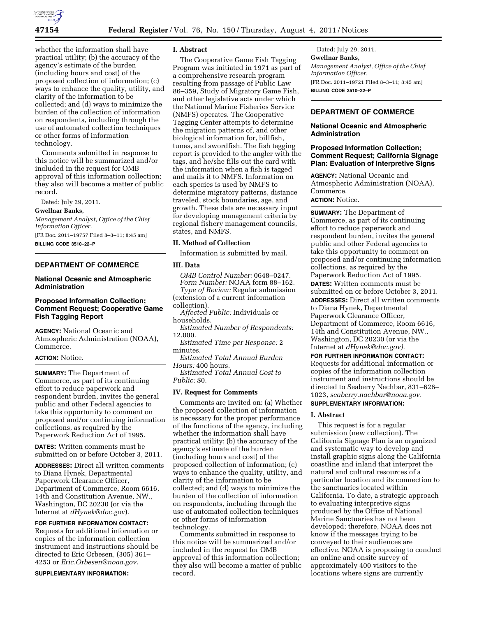

whether the information shall have practical utility; (b) the accuracy of the agency's estimate of the burden (including hours and cost) of the proposed collection of information; (c) ways to enhance the quality, utility, and clarity of the information to be collected; and (d) ways to minimize the burden of the collection of information on respondents, including through the use of automated collection techniques or other forms of information technology.

Comments submitted in response to this notice will be summarized and/or included in the request for OMB approval of this information collection; they also will become a matter of public record.

Dated: July 29, 2011.

### **Gwellnar Banks,**

*Management Analyst, Office of the Chief Information Officer.*  [FR Doc. 2011–19757 Filed 8–3–11; 8:45 am]

**BILLING CODE 3510–22–P** 

## **DEPARTMENT OF COMMERCE**

### **National Oceanic and Atmospheric Administration**

## **Proposed Information Collection; Comment Request; Cooperative Game Fish Tagging Report**

**AGENCY:** National Oceanic and Atmospheric Administration (NOAA), Commerce.

## **ACTION:** Notice.

**SUMMARY:** The Department of Commerce, as part of its continuing effort to reduce paperwork and respondent burden, invites the general public and other Federal agencies to take this opportunity to comment on proposed and/or continuing information collections, as required by the Paperwork Reduction Act of 1995.

**DATES:** Written comments must be submitted on or before October 3, 2011.

**ADDRESSES:** Direct all written comments to Diana Hynek, Departmental Paperwork Clearance Officer, Department of Commerce, Room 6616, 14th and Constitution Avenue, NW., Washington, DC 20230 (or via the Internet at *[dHynek@doc.gov](mailto:dHynek@doc.gov)*).

**FOR FURTHER INFORMATION CONTACT:**  Requests for additional information or copies of the information collection instrument and instructions should be directed to Eric Orbesen, (305) 361– 4253 or *[Eric.Orbesen@noaa.gov.](mailto:Eric.Orbesen@noaa.gov)* 

**SUPPLEMENTARY INFORMATION:**

### **I. Abstract**

The Cooperative Game Fish Tagging Program was initiated in 1971 as part of a comprehensive research program resulting from passage of Public Law 86–359, Study of Migratory Game Fish, and other legislative acts under which the National Marine Fisheries Service (NMFS) operates. The Cooperative Tagging Center attempts to determine the migration patterns of, and other biological information for, billfish, tunas, and swordfish. The fish tagging report is provided to the angler with the tags, and he/she fills out the card with the information when a fish is tagged and mails it to NMFS. Information on each species is used by NMFS to determine migratory patterns, distance traveled, stock boundaries, age, and growth. These data are necessary input for developing management criteria by regional fishery management councils, states, and NMFS.

## **II. Method of Collection**

Information is submitted by mail.

### **III. Data**

*OMB Control Number:* 0648–0247. *Form Number:* NOAA form 88–162.

*Type of Review:* Regular submission (extension of a current information collection).

*Affected Public:* Individuals or households.

*Estimated Number of Respondents:*  12,000.

*Estimated Time per Response:* 2 minutes.

*Estimated Total Annual Burden Hours:* 400 hours.

*Estimated Total Annual Cost to Public:* \$0.

### **IV. Request for Comments**

Comments are invited on: (a) Whether the proposed collection of information is necessary for the proper performance of the functions of the agency, including whether the information shall have practical utility; (b) the accuracy of the agency's estimate of the burden (including hours and cost) of the proposed collection of information; (c) ways to enhance the quality, utility, and clarity of the information to be collected; and (d) ways to minimize the burden of the collection of information on respondents, including through the use of automated collection techniques or other forms of information technology.

Comments submitted in response to this notice will be summarized and/or included in the request for OMB approval of this information collection; they also will become a matter of public record.

Dated: July 29, 2011. **Gwellnar Banks,**  *Management Analyst, Office of the Chief Information Officer.*  [FR Doc. 2011–19721 Filed 8–3–11; 8:45 am] **BILLING CODE 3510–22–P** 

# **DEPARTMENT OF COMMERCE**

## **National Oceanic and Atmospheric Administration**

## **Proposed Information Collection; Comment Request; California Signage Plan: Evaluation of Interpretive Signs**

**AGENCY:** National Oceanic and Atmospheric Administration (NOAA), Commerce. **ACTION:** Notice.

**SUMMARY:** The Department of Commerce, as part of its continuing effort to reduce paperwork and respondent burden, invites the general public and other Federal agencies to take this opportunity to comment on proposed and/or continuing information collections, as required by the Paperwork Reduction Act of 1995. **DATES:** Written comments must be submitted on or before October 3, 2011. **ADDRESSES:** Direct all written comments to Diana Hynek, Departmental Paperwork Clearance Officer, Department of Commerce, Room 6616, 14th and Constitution Avenue, NW., Washington, DC 20230 (or via the Internet at *[dHynek@doc.gov\).](mailto:dHynek@doc.gov)* 

**FOR FURTHER INFORMATION CONTACT:**  Requests for additional information or copies of the information collection instrument and instructions should be directed to Seaberry Nachbar, 831–626– 1023, *[seaberry.nachbar@noaa.gov.](mailto:seaberry.nachbar@noaa.gov)*  **SUPPLEMENTARY INFORMATION:** 

### **I. Abstract**

This request is for a regular submission (new collection). The California Signage Plan is an organized and systematic way to develop and install graphic signs along the California coastline and inland that interpret the natural and cultural resources of a particular location and its connection to the sanctuaries located within California. To date, a strategic approach to evaluating interpretive signs produced by the Office of National Marine Sanctuaries has not been developed; therefore, NOAA does not know if the messages trying to be conveyed to their audiences are effective. NOAA is proposing to conduct an online and onsite survey of approximately 400 visitors to the locations where signs are currently